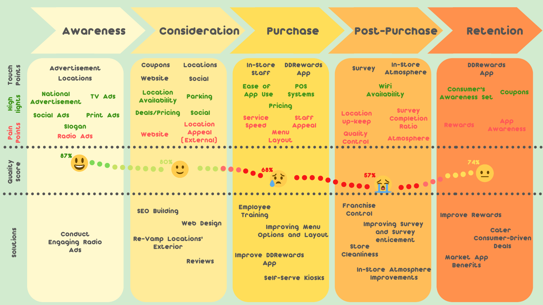Awareness Consideration Purchase Post-Purchase Retention

| Touch<br>Points<br>High<br>Pain<br>Points | <b>Advertisement</b><br>Locations<br>National<br>TV Ads<br><b>Advertisement</b><br>Print Ads<br>Social Ads<br>Slogan<br><b>Radio Ads</b> | Locations<br><b>Coupons</b><br>Website<br><b>Social</b><br>Location<br>Parking<br><b>Availability</b><br><b>Deals/Pricing</b><br><b>Social</b><br>Location<br><b>Appeal</b><br>Website<br>[External] | <b>DDRewards</b><br>In-Store<br>SLOFF<br>App<br><b>POS</b><br>Ease of<br><b>Systems</b><br><b>App Use</b><br>Pricing<br><b>Service</b><br><b>SLOFF</b><br><b>Speed</b><br><b>Appeal</b><br>Menu<br>Layout | In-Store<br><b>Survey</b><br>Atmosphere<br><b>Wiri</b><br><b>Availability</b><br><b>SULAGA</b><br>Location<br><b>Completion</b><br><b>Up-keep</b><br><b>Ratio</b><br>Quality<br>Atmosphere<br>Control | <b>DDRewards</b><br>App<br><b>Consumer's</b><br><b>Coupons</b><br><b>Awareness Set</b><br><b>App</b><br><b>Rewords</b><br><b>Awareness</b> |
|-------------------------------------------|------------------------------------------------------------------------------------------------------------------------------------------|------------------------------------------------------------------------------------------------------------------------------------------------------------------------------------------------------|-----------------------------------------------------------------------------------------------------------------------------------------------------------------------------------------------------------|-------------------------------------------------------------------------------------------------------------------------------------------------------------------------------------------------------|--------------------------------------------------------------------------------------------------------------------------------------------|
| auality<br>score                          | 87%                                                                                                                                      | $\bullet$ $\bullet$ $\bullet$                                                                                                                                                                        |                                                                                                                                                                                                           | 000                                                                                                                                                                                                   | 74%<br>$\bullet$<br>$\bullet\bullet\bullet\bullet$                                                                                         |
| solutions                                 | Conduct<br><b>Engaging Radio</b><br><b>Ads</b>                                                                                           | <b>SEO Building</b><br><b>Web Design</b><br><b>Re-Vamp Locations'</b><br><b>Exterior</b><br><b>Reviews</b>                                                                                           | <b>Employee</b><br>Training<br><b>Example 10 Improving Menu</b><br>Options and Layout<br><b>Improve DDRewards</b><br><b>App</b><br><b>Self-Serve Kiosks</b>                                               | <b>Franchise</b><br>Control<br>Improving Survey<br>and Survey<br>enticement<br><b>Store</b><br><b>Cleanliness</b><br>In-Store Atmosphere<br><b>Improvements</b>                                       | <b>Improve Rewards</b><br><b>Cater</b><br>Consumer-Driven<br><b>Deals</b><br>Market App<br><b>Benefits</b>                                 |